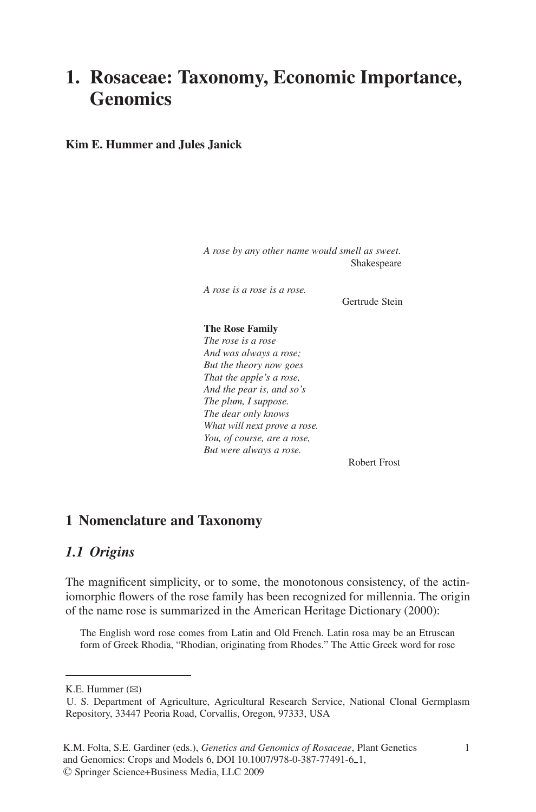# **1. Rosaceae: Taxonomy, Economic Importance, Genomics**

**Kim E. Hummer and Jules Janick**

*A rose by any other name would smell as sweet.* Shakespeare *A rose is a rose is a rose.* Gertrude Stein **The Rose Family** *The rose is a rose And was always a rose; But the theory now goes That the apple's a rose, And the pear is, and so's The plum, I suppose. The dear only knows What will next prove a rose. You, of course, are a rose, But were always a rose.*

Robert Frost

# **1 Nomenclature and Taxonomy**

## *1.1 Origins*

The magnificent simplicity, or to some, the monotonous consistency, of the actiniomorphic flowers of the rose family has been recognized for millennia. The origin of the name rose is summarized in the American Heritage Dictionary (2000):

The English word rose comes from Latin and Old French. Latin rosa may be an Etruscan form of Greek Rhodia, "Rhodian, originating from Rhodes." The Attic Greek word for rose

K.E. Hummer  $(\boxtimes)$ 

U. S. Department of Agriculture, Agricultural Research Service, National Clonal Germplasm Repository, 33447 Peoria Road, Corvallis, Oregon, 97333, USA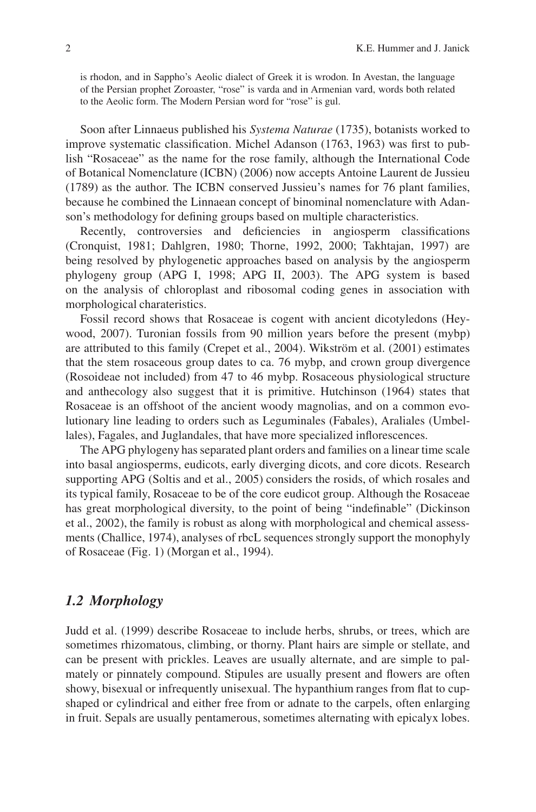is rhodon, and in Sappho's Aeolic dialect of Greek it is wrodon. In Avestan, the language of the Persian prophet Zoroaster, "rose" is varda and in Armenian vard, words both related to the Aeolic form. The Modern Persian word for "rose" is gul.

Soon after Linnaeus published his *Systema Naturae* (1735), botanists worked to improve systematic classification. Michel Adanson (1763, 1963) was first to publish "Rosaceae" as the name for the rose family, although the International Code of Botanical Nomenclature (ICBN) (2006) now accepts Antoine Laurent de Jussieu (1789) as the author. The ICBN conserved Jussieu's names for 76 plant families, because he combined the Linnaean concept of binominal nomenclature with Adanson's methodology for defining groups based on multiple characteristics.

Recently, controversies and deficiencies in angiosperm classifications (Cronquist, 1981; Dahlgren, 1980; Thorne, 1992, 2000; Takhtajan, 1997) are being resolved by phylogenetic approaches based on analysis by the angiosperm phylogeny group (APG I, 1998; APG II, 2003). The APG system is based on the analysis of chloroplast and ribosomal coding genes in association with morphological charateristics.

Fossil record shows that Rosaceae is cogent with ancient dicotyledons (Heywood, 2007). Turonian fossils from 90 million years before the present (mybp) are attributed to this family (Crepet et al., 2004). Wikström et al.  $(2001)$  estimates that the stem rosaceous group dates to ca. 76 mybp, and crown group divergence (Rosoideae not included) from 47 to 46 mybp. Rosaceous physiological structure and anthecology also suggest that it is primitive. Hutchinson (1964) states that Rosaceae is an offshoot of the ancient woody magnolias, and on a common evolutionary line leading to orders such as Leguminales (Fabales), Araliales (Umbellales), Fagales, and Juglandales, that have more specialized inflorescences.

The APG phylogeny has separated plant orders and families on a linear time scale into basal angiosperms, eudicots, early diverging dicots, and core dicots. Research supporting APG (Soltis and et al., 2005) considers the rosids, of which rosales and its typical family, Rosaceae to be of the core eudicot group. Although the Rosaceae has great morphological diversity, to the point of being "indefinable" (Dickinson et al., 2002), the family is robust as along with morphological and chemical assessments (Challice, 1974), analyses of rbcL sequences strongly support the monophyly of Rosaceae (Fig. 1) (Morgan et al., 1994).

## *1.2 Morphology*

Judd et al. (1999) describe Rosaceae to include herbs, shrubs, or trees, which are sometimes rhizomatous, climbing, or thorny. Plant hairs are simple or stellate, and can be present with prickles. Leaves are usually alternate, and are simple to palmately or pinnately compound. Stipules are usually present and flowers are often showy, bisexual or infrequently unisexual. The hypanthium ranges from flat to cupshaped or cylindrical and either free from or adnate to the carpels, often enlarging in fruit. Sepals are usually pentamerous, sometimes alternating with epicalyx lobes.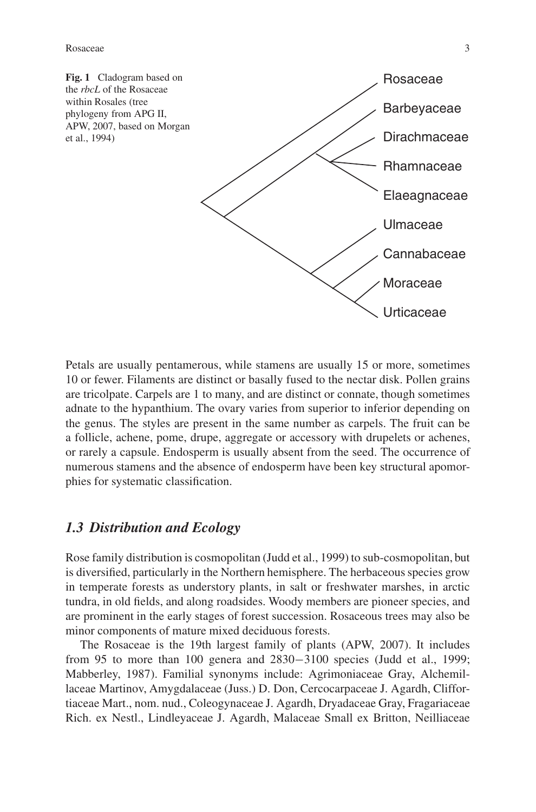

Petals are usually pentamerous, while stamens are usually 15 or more, sometimes 10 or fewer. Filaments are distinct or basally fused to the nectar disk. Pollen grains are tricolpate. Carpels are 1 to many, and are distinct or connate, though sometimes adnate to the hypanthium. The ovary varies from superior to inferior depending on the genus. The styles are present in the same number as carpels. The fruit can be a follicle, achene, pome, drupe, aggregate or accessory with drupelets or achenes, or rarely a capsule. Endosperm is usually absent from the seed. The occurrence of numerous stamens and the absence of endosperm have been key structural apomorphies for systematic classification.

# *1.3 Distribution and Ecology*

Rose family distribution is cosmopolitan (Judd et al., 1999) to sub-cosmopolitan, but is diversified, particularly in the Northern hemisphere. The herbaceous species grow in temperate forests as understory plants, in salt or freshwater marshes, in arctic tundra, in old fields, and along roadsides. Woody members are pioneer species, and are prominent in the early stages of forest succession. Rosaceous trees may also be minor components of mature mixed deciduous forests.

The Rosaceae is the 19th largest family of plants (APW, 2007). It includes from 95 to more than 100 genera and 2830−3100 species (Judd et al., 1999; Mabberley, 1987). Familial synonyms include: Agrimoniaceae Gray, Alchemillaceae Martinov, Amygdalaceae (Juss.) D. Don, Cercocarpaceae J. Agardh, Cliffortiaceae Mart., nom. nud., Coleogynaceae J. Agardh, Dryadaceae Gray, Fragariaceae Rich. ex Nestl., Lindleyaceae J. Agardh, Malaceae Small ex Britton, Neilliaceae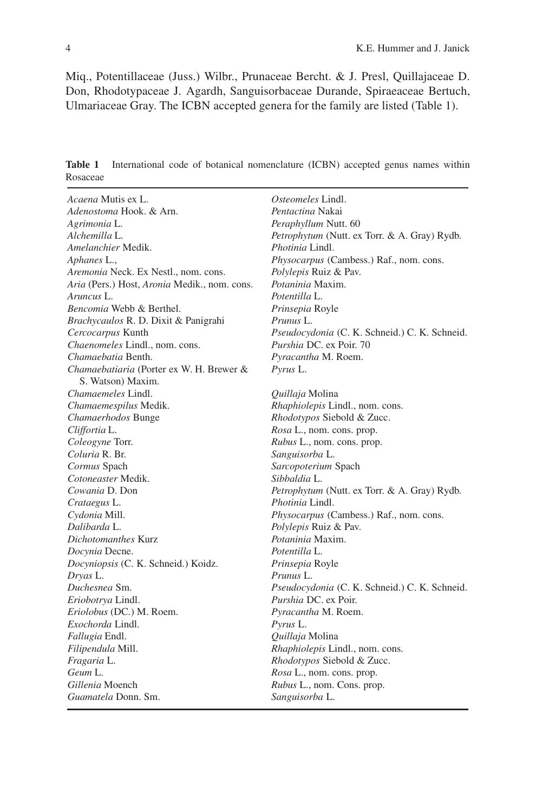Miq., Potentillaceae (Juss.) Wilbr., Prunaceae Bercht. & J. Presl, Quillajaceae D. Don, Rhodotypaceae J. Agardh, Sanguisorbaceae Durande, Spiraeaceae Bertuch, Ulmariaceae Gray. The ICBN accepted genera for the family are listed (Table 1).

**Table 1** International code of botanical nomenclature (ICBN) accepted genus names within Rosaceae

| Acaena Mutis ex L.                           | Osteomeles Lindl.                             |
|----------------------------------------------|-----------------------------------------------|
| Adenostoma Hook. & Arn.                      | <i>Pentactina</i> Nakai                       |
| Agrimonia L.                                 | Peraphyllum Nutt. 60                          |
| Alchemilla L.                                | Petrophytum (Nutt. ex Torr. & A. Gray) Rydb.  |
| Amelanchier Medik.                           | <i>Photinia</i> Lindl.                        |
| Aphanes L.,                                  | Physocarpus (Cambess.) Raf., nom. cons.       |
| Aremonia Neck. Ex Nestl., nom. cons.         | Polylepis Ruiz & Pav.                         |
| Aria (Pers.) Host, Aronia Medik., nom. cons. | <i>Potaninia</i> Maxim.                       |
| Aruncus L.                                   | Potentilla L.                                 |
| Bencomia Webb & Berthel.                     | Prinsepia Royle                               |
| Brachycaulos R. D. Dixit & Panigrahi         | Prunus L.                                     |
| Cercocarpus Kunth                            | Pseudocydonia (C. K. Schneid.) C. K. Schneid. |
| Chaenomeles Lindl., nom. cons.               | Purshia DC. ex Poir. 70                       |
| Chamaebatia Benth.                           | Pyracantha M. Roem.                           |
| Chamaebatiaria (Porter ex W. H. Brewer &     | Pyrus L.                                      |
| S. Watson) Maxim.                            |                                               |
| <i>Chamaemeles Lindl.</i>                    | Quillaja Molina                               |
| Chamaemespilus Medik.                        | Rhaphiolepis Lindl., nom. cons.               |
| Chamaerhodos Bunge                           | Rhodotypos Siebold & Zucc.                    |
| Cliffortia L.                                | Rosa L., nom. cons. prop.                     |
| Coleogyne Torr.                              | Rubus L., nom. cons. prop.                    |
| Coluria R. Br.                               | Sanguisorba L.                                |
| Cormus Spach                                 | Sarcopoterium Spach                           |
| Cotoneaster Medik.                           | Sibbaldia L.                                  |
| Cowania D. Don                               | Petrophytum (Nutt. ex Torr. & A. Gray) Rydb.  |
| Crataegus L.                                 | <i>Photinia</i> Lindl.                        |
| Cydonia Mill.                                | Physocarpus (Cambess.) Raf., nom. cons.       |
| Dalibarda L.                                 | Polylepis Ruiz & Pav.                         |
| Dichotomanthes Kurz                          | Potaninia Maxim.                              |
| Docynia Decne.                               | Potentilla L.                                 |
| Docyniopsis (C. K. Schneid.) Koidz.          | Prinsepia Royle                               |
| Dryas L.                                     | Prunus L.                                     |
| Duchesnea Sm.                                | Pseudocydonia (C. K. Schneid.) C. K. Schneid. |
| Eriobotrya Lindl.                            | <i>Purshia DC.</i> ex Poir.                   |
| Eriolobus (DC.) M. Roem.                     | Pyracantha M. Roem.                           |
| Exochorda Lindl.                             | Pyrus L.                                      |
| Fallugia Endl.                               | Quillaja Molina                               |
| Filipendula Mill.                            | Rhaphiolepis Lindl., nom. cons.               |
| Fragaria L.                                  | Rhodotypos Siebold & Zucc.                    |
| Geum L.                                      | Rosa L., nom. cons. prop.                     |
| Gillenia Moench                              | Rubus L., nom. Cons. prop.                    |
| Guamatela Donn. Sm.                          | Sanguisorba L.                                |
|                                              |                                               |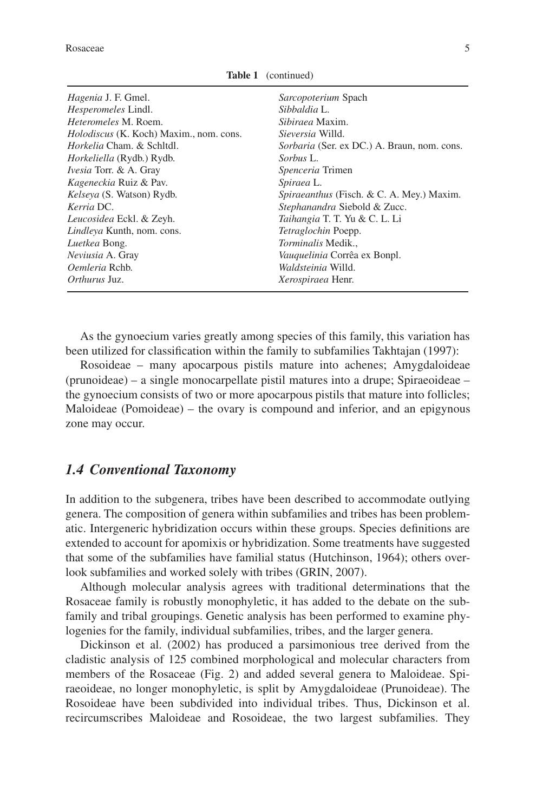| Hagenia J. F. Gmel.                            | Sarcopoterium Spach                              |
|------------------------------------------------|--------------------------------------------------|
| Hesperomeles Lindl.                            | Sibbaldia L.                                     |
| Heteromeles M. Roem.                           | <i>Sibiraea</i> Maxim.                           |
| <i>Holodiscus</i> (K. Koch) Maxim., nom. cons. | <i>Sieversia</i> Willd.                          |
| <i>Horkelia</i> Cham. & Schltdl.               | Sorbaria (Ser. ex DC.) A. Braun, nom. cons.      |
| <i>Horkeliella</i> (Rydb.) Rydb.               | <i>Sorbus</i> L.                                 |
| <i>Ivesia</i> Torr. & A. Gray                  | Spenceria Trimen                                 |
| Kageneckia Ruiz & Pav.                         | Spiraea L.                                       |
| <i>Kelseya</i> (S. Watson) Rydb.               | <i>Spiraeanthus</i> (Fisch. & C. A. Mey.) Maxim. |
| Kerria DC.                                     | Stephanandra Siebold & Zucc.                     |
| Leucosidea Eckl. & Zeyh.                       | Taihangia T. T. Yu & C. L. Li                    |
| Lindleya Kunth, nom. cons.                     | Tetraglochin Poepp.                              |
| Luetkea Bong.                                  | Torminalis Medik.,                               |
| Neviusia A. Gray                               | <i>Vauquelinia</i> Corrêa ex Bonpl.              |
| Oemleria Rchb.                                 | <i>Waldsteinia</i> Willd.                        |
| <i>Orthurus</i> Juz.                           | Xerospiraea Henr.                                |

**Table 1** (continued)

As the gynoecium varies greatly among species of this family, this variation has been utilized for classification within the family to subfamilies Takhtajan (1997):

Rosoideae – many apocarpous pistils mature into achenes; Amygdaloideae (prunoideae) – a single monocarpellate pistil matures into a drupe; Spiraeoideae – the gynoecium consists of two or more apocarpous pistils that mature into follicles; Maloideae (Pomoideae) – the ovary is compound and inferior, and an epigynous zone may occur.

# *1.4 Conventional Taxonomy*

In addition to the subgenera, tribes have been described to accommodate outlying genera. The composition of genera within subfamilies and tribes has been problematic. Intergeneric hybridization occurs within these groups. Species definitions are extended to account for apomixis or hybridization. Some treatments have suggested that some of the subfamilies have familial status (Hutchinson, 1964); others overlook subfamilies and worked solely with tribes (GRIN, 2007).

Although molecular analysis agrees with traditional determinations that the Rosaceae family is robustly monophyletic, it has added to the debate on the subfamily and tribal groupings. Genetic analysis has been performed to examine phylogenies for the family, individual subfamilies, tribes, and the larger genera.

Dickinson et al. (2002) has produced a parsimonious tree derived from the cladistic analysis of 125 combined morphological and molecular characters from members of the Rosaceae (Fig. 2) and added several genera to Maloideae. Spiraeoideae, no longer monophyletic, is split by Amygdaloideae (Prunoideae). The Rosoideae have been subdivided into individual tribes. Thus, Dickinson et al. recircumscribes Maloideae and Rosoideae, the two largest subfamilies. They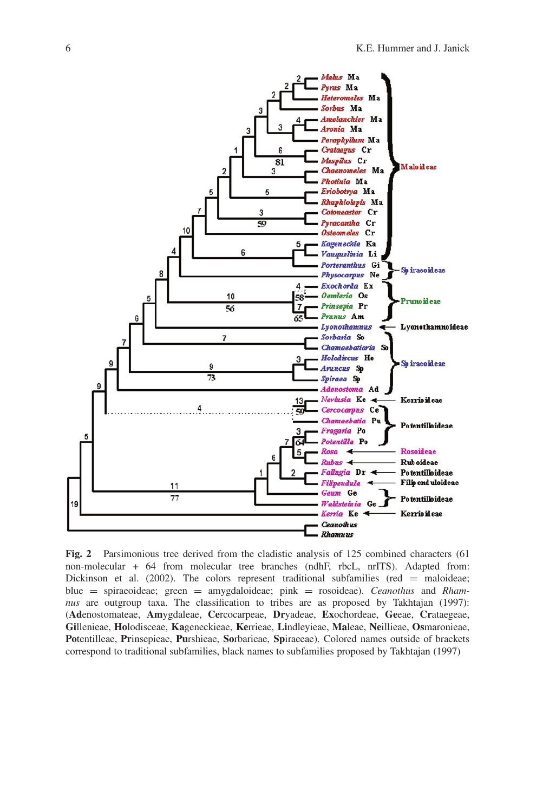

**Fig. 2** Parsimonious tree derived from the cladistic analysis of 125 combined characters (61 non-molecular + 64 from molecular tree branches (ndhF, rbcL, nrITS). Adapted from: Dickinson et al. (2002). The colors represent traditional subfamilies (red = maloideae; blue = spiraeoideae; green = amygdaloideae; pink = rosoideae). *Ceanothus* and *Rhamnus* are outgroup taxa. The classification to tribes are as proposed by Takhtajan (1997): (**Ad**enostomateae, **Am**ygdaleae, **Ce**rcocarpeae, **Dr**yadeae, **Ex**ochordeae, **Ge**eae, **Cr**ataegeae, **Gi**llenieae, **Ho**lodisceae, **Ka**geneckieae, **Ke**rrieae, **Li**ndleyieae, **Ma**leae, **Ne**illieae, **Os**maronieae, **Po**tentilleae, **Pr**insepieae, **Pu**rshieae, **So**rbarieae, **Sp**iraeeae). Colored names outside of brackets correspond to traditional subfamilies, black names to subfamilies proposed by Takhtajan (1997)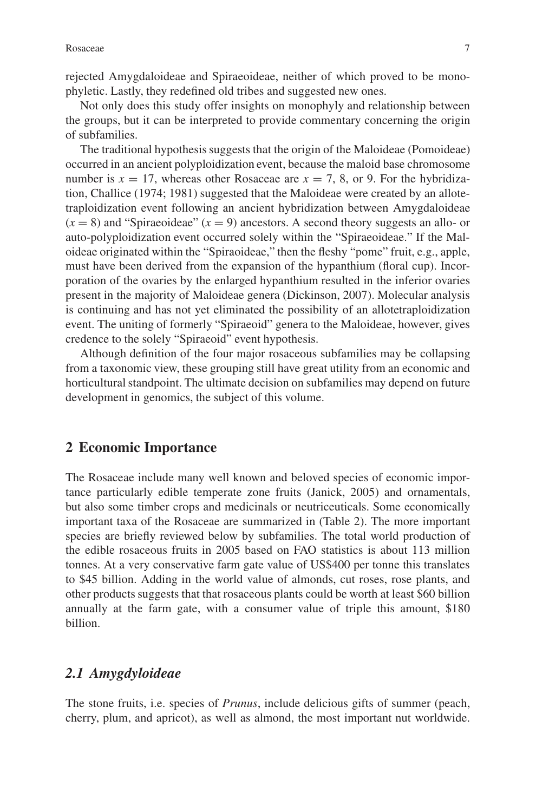rejected Amygdaloideae and Spiraeoideae, neither of which proved to be monophyletic. Lastly, they redefined old tribes and suggested new ones.

Not only does this study offer insights on monophyly and relationship between the groups, but it can be interpreted to provide commentary concerning the origin of subfamilies.

The traditional hypothesis suggests that the origin of the Maloideae (Pomoideae) occurred in an ancient polyploidization event, because the maloid base chromosome number is  $x = 17$ , whereas other Rosaceae are  $x = 7$ , 8, or 9. For the hybridization, Challice (1974; 1981) suggested that the Maloideae were created by an allotetraploidization event following an ancient hybridization between Amygdaloideae  $(x = 8)$  and "Spiraeoideae"  $(x = 9)$  ancestors. A second theory suggests an allo- or auto-polyploidization event occurred solely within the "Spiraeoideae." If the Maloideae originated within the "Spiraoideae," then the fleshy "pome" fruit, e.g., apple, must have been derived from the expansion of the hypanthium (floral cup). Incorporation of the ovaries by the enlarged hypanthium resulted in the inferior ovaries present in the majority of Maloideae genera (Dickinson, 2007). Molecular analysis is continuing and has not yet eliminated the possibility of an allotetraploidization event. The uniting of formerly "Spiraeoid" genera to the Maloideae, however, gives credence to the solely "Spiraeoid" event hypothesis.

Although definition of the four major rosaceous subfamilies may be collapsing from a taxonomic view, these grouping still have great utility from an economic and horticultural standpoint. The ultimate decision on subfamilies may depend on future development in genomics, the subject of this volume.

#### **2 Economic Importance**

The Rosaceae include many well known and beloved species of economic importance particularly edible temperate zone fruits (Janick, 2005) and ornamentals, but also some timber crops and medicinals or neutriceuticals. Some economically important taxa of the Rosaceae are summarized in (Table 2). The more important species are briefly reviewed below by subfamilies. The total world production of the edible rosaceous fruits in 2005 based on FAO statistics is about 113 million tonnes. At a very conservative farm gate value of US\$400 per tonne this translates to \$45 billion. Adding in the world value of almonds, cut roses, rose plants, and other products suggests that that rosaceous plants could be worth at least \$60 billion annually at the farm gate, with a consumer value of triple this amount, \$180 billion.

#### *2.1 Amygdyloideae*

The stone fruits, i.e. species of *Prunus*, include delicious gifts of summer (peach, cherry, plum, and apricot), as well as almond, the most important nut worldwide.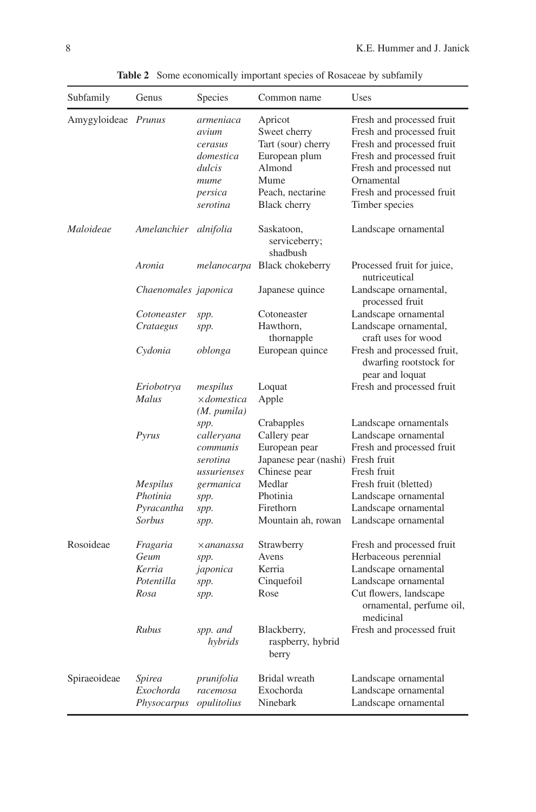| Subfamily           | Genus                 | <b>Species</b>                                                                      | Common name                                                                                                                 | Uses                                                                                                                                                                                                     |
|---------------------|-----------------------|-------------------------------------------------------------------------------------|-----------------------------------------------------------------------------------------------------------------------------|----------------------------------------------------------------------------------------------------------------------------------------------------------------------------------------------------------|
| Amygyloideae Prunus |                       | armeniaca<br>avium<br>cerasus<br>domestica<br>dulcis<br>mume<br>persica<br>serotina | Apricot<br>Sweet cherry<br>Tart (sour) cherry<br>European plum<br>Almond<br>Mume<br>Peach, nectarine<br><b>Black cherry</b> | Fresh and processed fruit<br>Fresh and processed fruit<br>Fresh and processed fruit<br>Fresh and processed fruit<br>Fresh and processed nut<br>Ornamental<br>Fresh and processed fruit<br>Timber species |
| Maloideae           | Amelanchier alnifolia |                                                                                     | Saskatoon,<br>serviceberry;<br>shadbush                                                                                     | Landscape ornamental                                                                                                                                                                                     |
|                     | Aronia                |                                                                                     | melanocarpa Black chokeberry                                                                                                | Processed fruit for juice,<br>nutriceutical                                                                                                                                                              |
|                     | Chaenomales japonica  |                                                                                     | Japanese quince                                                                                                             | Landscape ornamental,<br>processed fruit                                                                                                                                                                 |
|                     | Cotoneaster           | spp.                                                                                | Cotoneaster                                                                                                                 | Landscape ornamental                                                                                                                                                                                     |
|                     | Crataegus             | spp.                                                                                | Hawthorn,<br>thornapple                                                                                                     | Landscape ornamental,<br>craft uses for wood                                                                                                                                                             |
|                     | Cydonia               | oblonga                                                                             | European quince                                                                                                             | Fresh and processed fruit,<br>dwarfing rootstock for<br>pear and loquat                                                                                                                                  |
|                     | Eriobotrya<br>Malus   | mespilus<br>$\times$ domestica<br>$(M.$ pumila)                                     | Loquat<br>Apple                                                                                                             | Fresh and processed fruit                                                                                                                                                                                |
|                     | Pyrus                 | spp.<br>calleryana<br>communis<br>serotina<br>ussurienses                           | Crabapples<br>Callery pear<br>European pear<br>Japanese pear (nashi) Fresh fruit<br>Chinese pear                            | Landscape ornamentals<br>Landscape ornamental<br>Fresh and processed fruit<br>Fresh fruit                                                                                                                |
|                     | Mespilus              | germanica                                                                           | Medlar                                                                                                                      | Fresh fruit (bletted)                                                                                                                                                                                    |
|                     | Photinia              | spp.                                                                                | Photinia                                                                                                                    | Landscape ornamental                                                                                                                                                                                     |
|                     | Pyracantha            | spp.                                                                                | Firethorn                                                                                                                   | Landscape ornamental                                                                                                                                                                                     |
|                     | <b>Sorbus</b>         | spp.                                                                                | Mountain ah, rowan                                                                                                          | Landscape ornamental                                                                                                                                                                                     |
| Rosoideae           | Fragaria              | $\times$ ananassa                                                                   | Strawberry                                                                                                                  | Fresh and processed fruit                                                                                                                                                                                |
|                     | Geum                  | spp.                                                                                | Avens                                                                                                                       | Herbaceous perennial                                                                                                                                                                                     |
|                     | Kerria                | japonica                                                                            | Kerria                                                                                                                      | Landscape ornamental                                                                                                                                                                                     |
|                     | Potentilla            | spp.                                                                                | Cinquefoil                                                                                                                  | Landscape ornamental                                                                                                                                                                                     |
|                     | Rosa                  | spp.                                                                                | Rose                                                                                                                        | Cut flowers, landscape<br>ornamental, perfume oil,                                                                                                                                                       |
|                     | <b>Rubus</b>          | spp. and<br>hybrids                                                                 | Blackberry,<br>raspberry, hybrid<br>berry                                                                                   | medicinal<br>Fresh and processed fruit                                                                                                                                                                   |
| Spiraeoideae        | Spirea                | prunifolia                                                                          | Bridal wreath                                                                                                               | Landscape ornamental                                                                                                                                                                                     |
|                     | Exochorda             | racemosa                                                                            | Exochorda                                                                                                                   | Landscape ornamental                                                                                                                                                                                     |
|                     | Physocarpus           | opulitolius                                                                         | Ninebark                                                                                                                    | Landscape ornamental                                                                                                                                                                                     |

**Table 2** Some economically important species of Rosaceae by subfamily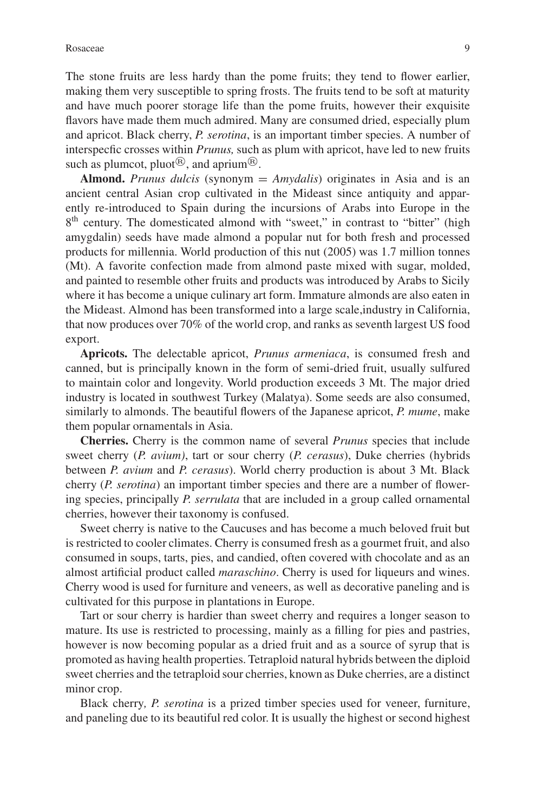The stone fruits are less hardy than the pome fruits; they tend to flower earlier, making them very susceptible to spring frosts. The fruits tend to be soft at maturity and have much poorer storage life than the pome fruits, however their exquisite flavors have made them much admired. Many are consumed dried, especially plum and apricot. Black cherry, *P. serotina*, is an important timber species. A number of interspecfic crosses within *Prunus,* such as plum with apricot, have led to new fruits such as plumcot, pluot<sup>®</sup>, and aprium<sup>®</sup>.

**Almond.** *Prunus dulcis* (synonym = *Amydalis*) originates in Asia and is an ancient central Asian crop cultivated in the Mideast since antiquity and apparently re-introduced to Spain during the incursions of Arabs into Europe in the 8<sup>th</sup> century. The domesticated almond with "sweet," in contrast to "bitter" (high amygdalin) seeds have made almond a popular nut for both fresh and processed products for millennia. World production of this nut (2005) was 1.7 million tonnes (Mt). A favorite confection made from almond paste mixed with sugar, molded, and painted to resemble other fruits and products was introduced by Arabs to Sicily where it has become a unique culinary art form. Immature almonds are also eaten in the Mideast. Almond has been transformed into a large scale,industry in California, that now produces over 70% of the world crop, and ranks as seventh largest US food export.

**Apricots.** The delectable apricot, *Prunus armeniaca*, is consumed fresh and canned, but is principally known in the form of semi-dried fruit, usually sulfured to maintain color and longevity. World production exceeds 3 Mt. The major dried industry is located in southwest Turkey (Malatya). Some seeds are also consumed, similarly to almonds. The beautiful flowers of the Japanese apricot, *P. mume*, make them popular ornamentals in Asia.

**Cherries.** Cherry is the common name of several *Prunus* species that include sweet cherry (*P. avium)*, tart or sour cherry (*P. cerasus*), Duke cherries (hybrids between *P. avium* and *P. cerasus*). World cherry production is about 3 Mt. Black cherry (*P. serotina*) an important timber species and there are a number of flowering species, principally *P. serrulata* that are included in a group called ornamental cherries, however their taxonomy is confused.

Sweet cherry is native to the Caucuses and has become a much beloved fruit but is restricted to cooler climates. Cherry is consumed fresh as a gourmet fruit, and also consumed in soups, tarts, pies, and candied, often covered with chocolate and as an almost artificial product called *maraschino*. Cherry is used for liqueurs and wines. Cherry wood is used for furniture and veneers, as well as decorative paneling and is cultivated for this purpose in plantations in Europe.

Tart or sour cherry is hardier than sweet cherry and requires a longer season to mature. Its use is restricted to processing, mainly as a filling for pies and pastries, however is now becoming popular as a dried fruit and as a source of syrup that is promoted as having health properties. Tetraploid natural hybrids between the diploid sweet cherries and the tetraploid sour cherries, known as Duke cherries, are a distinct minor crop.

Black cherry*, P. serotina* is a prized timber species used for veneer, furniture, and paneling due to its beautiful red color. It is usually the highest or second highest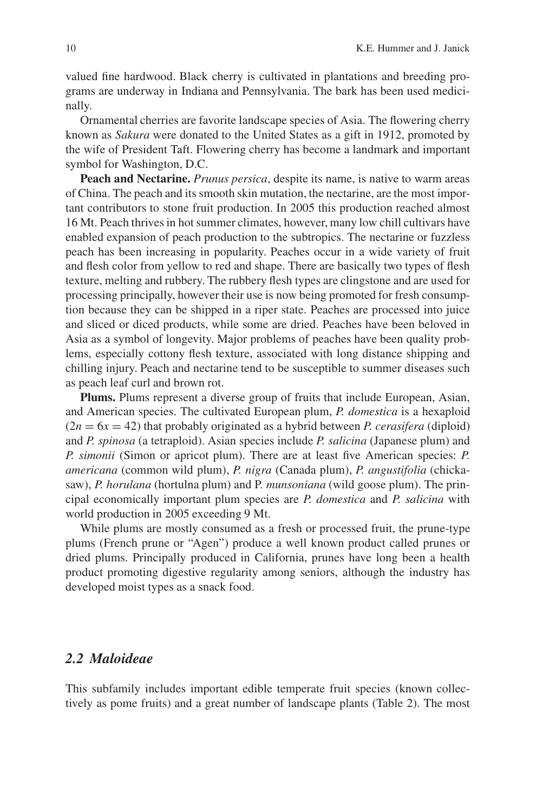valued fine hardwood. Black cherry is cultivated in plantations and breeding programs are underway in Indiana and Pennsylvania. The bark has been used medicinally.

Ornamental cherries are favorite landscape species of Asia. The flowering cherry known as *Sakura* were donated to the United States as a gift in 1912, promoted by the wife of President Taft. Flowering cherry has become a landmark and important symbol for Washington, D.C.

**Peach and Nectarine.** *Prunus persica*, despite its name, is native to warm areas of China. The peach and its smooth skin mutation, the nectarine, are the most important contributors to stone fruit production. In 2005 this production reached almost 16 Mt. Peach thrives in hot summer climates, however, many low chill cultivars have enabled expansion of peach production to the subtropics. The nectarine or fuzzless peach has been increasing in popularity. Peaches occur in a wide variety of fruit and flesh color from yellow to red and shape. There are basically two types of flesh texture, melting and rubbery. The rubbery flesh types are clingstone and are used for processing principally, however their use is now being promoted for fresh consumption because they can be shipped in a riper state. Peaches are processed into juice and sliced or diced products, while some are dried. Peaches have been beloved in Asia as a symbol of longevity. Major problems of peaches have been quality problems, especially cottony flesh texture, associated with long distance shipping and chilling injury. Peach and nectarine tend to be susceptible to summer diseases such as peach leaf curl and brown rot.

**Plums.** Plums represent a diverse group of fruits that include European, Asian, and American species. The cultivated European plum, *P. domestica* is a hexaploid  $(2n = 6x = 42)$  that probably originated as a hybrid between *P. cerasifera* (diploid) and *P. spinosa* (a tetraploid). Asian species include *P. salicina* (Japanese plum) and *P. simonii* (Simon or apricot plum). There are at least five American species: *P. americana* (common wild plum), *P. nigra* (Canada plum), *P. angustifolia* (chickasaw), *P. horulana* (hortulna plum) and P. *munsoniana* (wild goose plum). The principal economically important plum species are *P. domestica* and *P. salicina* with world production in 2005 exceeding 9 Mt.

While plums are mostly consumed as a fresh or processed fruit, the prune-type plums (French prune or "Agen") produce a well known product called prunes or dried plums. Principally produced in California, prunes have long been a health product promoting digestive regularity among seniors, although the industry has developed moist types as a snack food.

#### *2.2 Maloideae*

This subfamily includes important edible temperate fruit species (known collectively as pome fruits) and a great number of landscape plants (Table 2). The most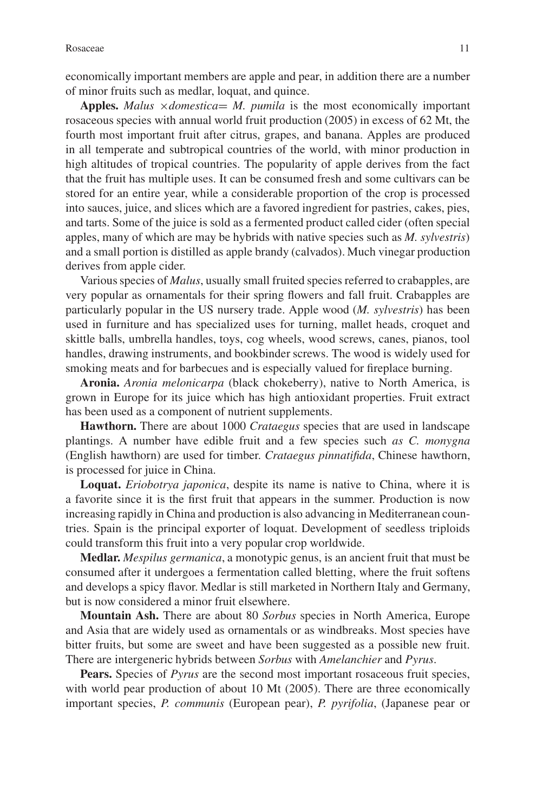economically important members are apple and pear, in addition there are a number of minor fruits such as medlar, loquat, and quince.

**Apples.** *Malus*  $\times$ *domestica*= *M. pumila* is the most economically important rosaceous species with annual world fruit production (2005) in excess of 62 Mt, the fourth most important fruit after citrus, grapes, and banana. Apples are produced in all temperate and subtropical countries of the world, with minor production in high altitudes of tropical countries. The popularity of apple derives from the fact that the fruit has multiple uses. It can be consumed fresh and some cultivars can be stored for an entire year, while a considerable proportion of the crop is processed into sauces, juice, and slices which are a favored ingredient for pastries, cakes, pies, and tarts. Some of the juice is sold as a fermented product called cider (often special apples, many of which are may be hybrids with native species such as *M. sylvestris*) and a small portion is distilled as apple brandy (calvados). Much vinegar production derives from apple cider.

Various species of *Malus*, usually small fruited species referred to crabapples, are very popular as ornamentals for their spring flowers and fall fruit. Crabapples are particularly popular in the US nursery trade. Apple wood (*M. sylvestris*) has been used in furniture and has specialized uses for turning, mallet heads, croquet and skittle balls, umbrella handles, toys, cog wheels, wood screws, canes, pianos, tool handles, drawing instruments, and bookbinder screws. The wood is widely used for smoking meats and for barbecues and is especially valued for fireplace burning.

**Aronia.** *Aronia melonicarpa* (black chokeberry), native to North America, is grown in Europe for its juice which has high antioxidant properties. Fruit extract has been used as a component of nutrient supplements.

**Hawthorn.** There are about 1000 *Crataegus* species that are used in landscape plantings. A number have edible fruit and a few species such *as C. monygna* (English hawthorn) are used for timber. *Crataegus pinnatifida*, Chinese hawthorn, is processed for juice in China.

**Loquat.** *Eriobotrya japonica*, despite its name is native to China, where it is a favorite since it is the first fruit that appears in the summer. Production is now increasing rapidly in China and production is also advancing in Mediterranean countries. Spain is the principal exporter of loquat. Development of seedless triploids could transform this fruit into a very popular crop worldwide.

**Medlar.** *Mespilus germanica*, a monotypic genus, is an ancient fruit that must be consumed after it undergoes a fermentation called bletting, where the fruit softens and develops a spicy flavor. Medlar is still marketed in Northern Italy and Germany, but is now considered a minor fruit elsewhere.

**Mountain Ash.** There are about 80 *Sorbus* species in North America, Europe and Asia that are widely used as ornamentals or as windbreaks. Most species have bitter fruits, but some are sweet and have been suggested as a possible new fruit. There are intergeneric hybrids between *Sorbus* with *Amelanchier* and *Pyrus*.

**Pears.** Species of *Pyrus* are the second most important rosaceous fruit species, with world pear production of about 10 Mt (2005). There are three economically important species, *P. communis* (European pear), *P. pyrifolia*, (Japanese pear or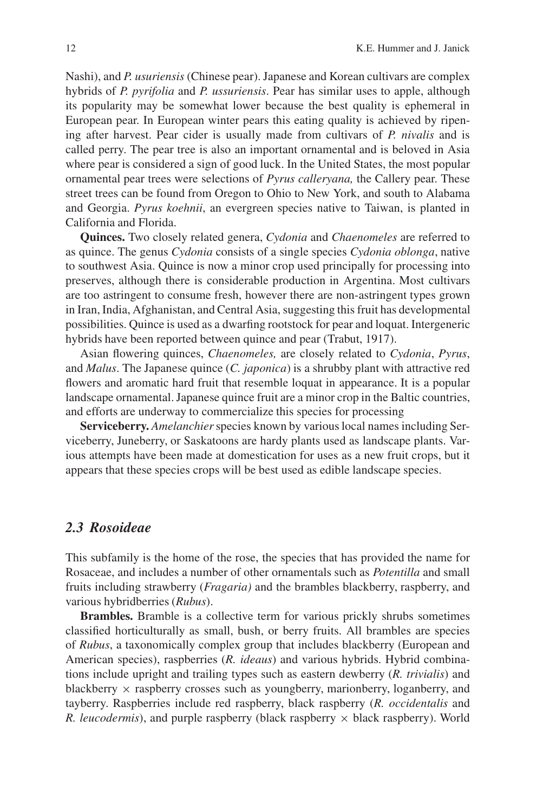Nashi), and *P. usuriensis* (Chinese pear). Japanese and Korean cultivars are complex hybrids of *P. pyrifolia* and *P. ussuriensis*. Pear has similar uses to apple, although its popularity may be somewhat lower because the best quality is ephemeral in European pear. In European winter pears this eating quality is achieved by ripening after harvest. Pear cider is usually made from cultivars of *P. nivalis* and is called perry. The pear tree is also an important ornamental and is beloved in Asia where pear is considered a sign of good luck. In the United States, the most popular ornamental pear trees were selections of *Pyrus calleryana,* the Callery pear. These street trees can be found from Oregon to Ohio to New York, and south to Alabama and Georgia. *Pyrus koehnii*, an evergreen species native to Taiwan, is planted in California and Florida.

**Quinces.** Two closely related genera, *Cydonia* and *Chaenomeles* are referred to as quince. The genus *Cydonia* consists of a single species *Cydonia oblonga*, native to southwest Asia. Quince is now a minor crop used principally for processing into preserves, although there is considerable production in Argentina. Most cultivars are too astringent to consume fresh, however there are non-astringent types grown in Iran, India, Afghanistan, and Central Asia, suggesting this fruit has developmental possibilities. Quince is used as a dwarfing rootstock for pear and loquat. Intergeneric hybrids have been reported between quince and pear (Trabut, 1917).

Asian flowering quinces, *Chaenomeles,* are closely related to *Cydonia*, *Pyrus*, and *Malus*. The Japanese quince (*C. japonica*) is a shrubby plant with attractive red flowers and aromatic hard fruit that resemble loquat in appearance. It is a popular landscape ornamental. Japanese quince fruit are a minor crop in the Baltic countries, and efforts are underway to commercialize this species for processing

**Serviceberry.** *Amelanchier* species known by various local names including Serviceberry, Juneberry, or Saskatoons are hardy plants used as landscape plants. Various attempts have been made at domestication for uses as a new fruit crops, but it appears that these species crops will be best used as edible landscape species.

# *2.3 Rosoideae*

This subfamily is the home of the rose, the species that has provided the name for Rosaceae, and includes a number of other ornamentals such as *Potentilla* and small fruits including strawberry (*Fragaria)* and the brambles blackberry, raspberry, and various hybridberries (*Rubus*).

**Brambles.** Bramble is a collective term for various prickly shrubs sometimes classified horticulturally as small, bush, or berry fruits. All brambles are species of *Rubus*, a taxonomically complex group that includes blackberry (European and American species), raspberries (*R. ideaus*) and various hybrids. Hybrid combinations include upright and trailing types such as eastern dewberry (*R. trivialis*) and blackberry  $\times$  raspberry crosses such as youngberry, marionberry, loganberry, and tayberry. Raspberries include red raspberry, black raspberry (*R. occidentalis* and *R. leucodermis*), and purple raspberry (black raspberry  $\times$  black raspberry). World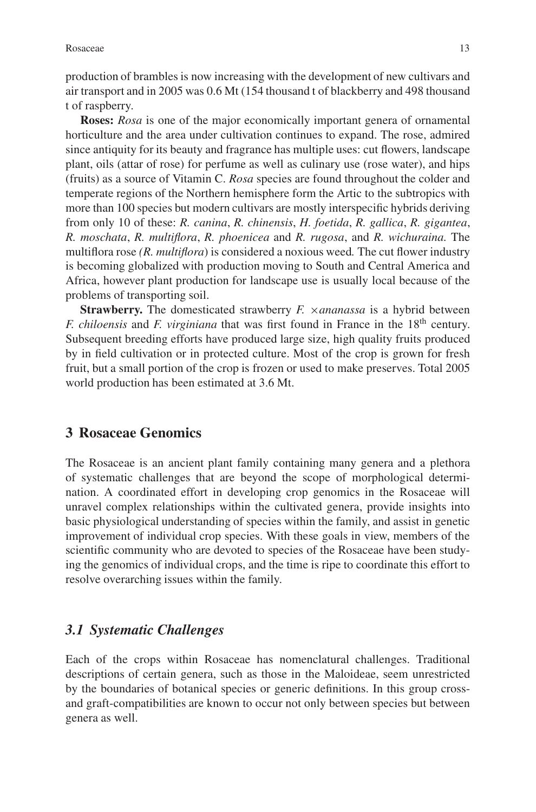production of brambles is now increasing with the development of new cultivars and air transport and in 2005 was 0.6 Mt (154 thousand t of blackberry and 498 thousand t of raspberry.

**Roses:** *Rosa* is one of the major economically important genera of ornamental horticulture and the area under cultivation continues to expand. The rose, admired since antiquity for its beauty and fragrance has multiple uses: cut flowers, landscape plant, oils (attar of rose) for perfume as well as culinary use (rose water), and hips (fruits) as a source of Vitamin C. *Rosa* species are found throughout the colder and temperate regions of the Northern hemisphere form the Artic to the subtropics with more than 100 species but modern cultivars are mostly interspecific hybrids deriving from only 10 of these: *R. canina*, *R. chinensis*, *H. foetida*, *R. gallica*, *R. gigantea*, *R. moschata*, *R. multiflora*, *R. phoenicea* and *R. rugosa*, and *R. wichuraina.* The multiflora rose *(R. multiflora*) is considered a noxious weed*.* The cut flower industry is becoming globalized with production moving to South and Central America and Africa, however plant production for landscape use is usually local because of the problems of transporting soil.

**Strawberry.** The domesticated strawberry *F.* ×*ananassa* is a hybrid between *F. chiloensis* and *F. virginiana* that was first found in France in the 18<sup>th</sup> century. Subsequent breeding efforts have produced large size, high quality fruits produced by in field cultivation or in protected culture. Most of the crop is grown for fresh fruit, but a small portion of the crop is frozen or used to make preserves. Total 2005 world production has been estimated at 3.6 Mt.

# **3 Rosaceae Genomics**

The Rosaceae is an ancient plant family containing many genera and a plethora of systematic challenges that are beyond the scope of morphological determination. A coordinated effort in developing crop genomics in the Rosaceae will unravel complex relationships within the cultivated genera, provide insights into basic physiological understanding of species within the family, and assist in genetic improvement of individual crop species. With these goals in view, members of the scientific community who are devoted to species of the Rosaceae have been studying the genomics of individual crops, and the time is ripe to coordinate this effort to resolve overarching issues within the family.

## *3.1 Systematic Challenges*

Each of the crops within Rosaceae has nomenclatural challenges. Traditional descriptions of certain genera, such as those in the Maloideae, seem unrestricted by the boundaries of botanical species or generic definitions. In this group crossand graft-compatibilities are known to occur not only between species but between genera as well.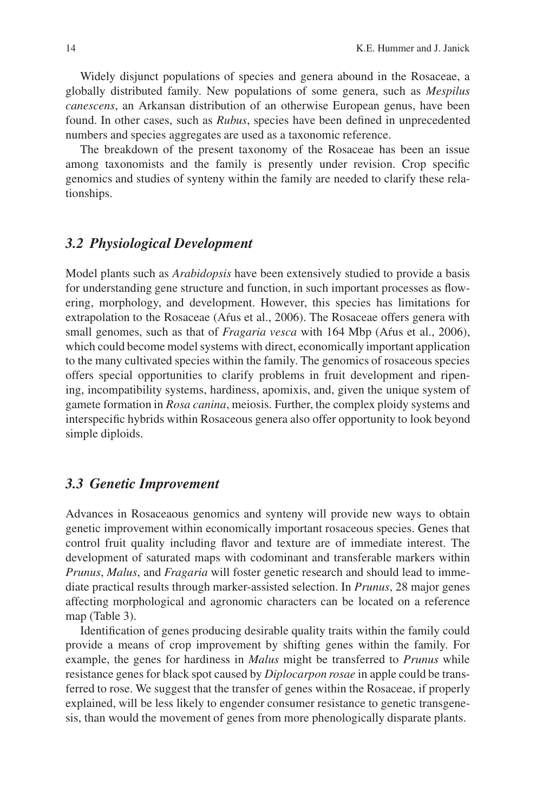Widely disjunct populations of species and genera abound in the Rosaceae, a globally distributed family. New populations of some genera, such as *Mespilus canescens*, an Arkansan distribution of an otherwise European genus, have been found. In other cases, such as *Rubus*, species have been defined in unprecedented numbers and species aggregates are used as a taxonomic reference.

The breakdown of the present taxonomy of the Rosaceae has been an issue among taxonomists and the family is presently under revision. Crop specific genomics and studies of synteny within the family are needed to clarify these relationships.

#### *3.2 Physiological Development*

Model plants such as *Arabidopsis* have been extensively studied to provide a basis for understanding gene structure and function, in such important processes as flowering, morphology, and development. However, this species has limitations for extrapolation to the Rosaceae (Aŕus et al., 2006). The Rosaceae offers genera with small genomes, such as that of *Fragaria vesca* with 164 Mbp (Afus et al., 2006), which could become model systems with direct, economically important application to the many cultivated species within the family. The genomics of rosaceous species offers special opportunities to clarify problems in fruit development and ripening, incompatibility systems, hardiness, apomixis, and, given the unique system of gamete formation in *Rosa canina*, meiosis. Further, the complex ploidy systems and interspecific hybrids within Rosaceous genera also offer opportunity to look beyond simple diploids.

#### *3.3 Genetic Improvement*

Advances in Rosaceaous genomics and synteny will provide new ways to obtain genetic improvement within economically important rosaceous species. Genes that control fruit quality including flavor and texture are of immediate interest. The development of saturated maps with codominant and transferable markers within *Prunus*, *Malus*, and *Fragaria* will foster genetic research and should lead to immediate practical results through marker-assisted selection. In *Prunus*, 28 major genes affecting morphological and agronomic characters can be located on a reference map (Table 3).

Identification of genes producing desirable quality traits within the family could provide a means of crop improvement by shifting genes within the family. For example, the genes for hardiness in *Malus* might be transferred to *Prunus* while resistance genes for black spot caused by *Diplocarpon rosae* in apple could be transferred to rose. We suggest that the transfer of genes within the Rosaceae, if properly explained, will be less likely to engender consumer resistance to genetic transgenesis, than would the movement of genes from more phenologically disparate plants.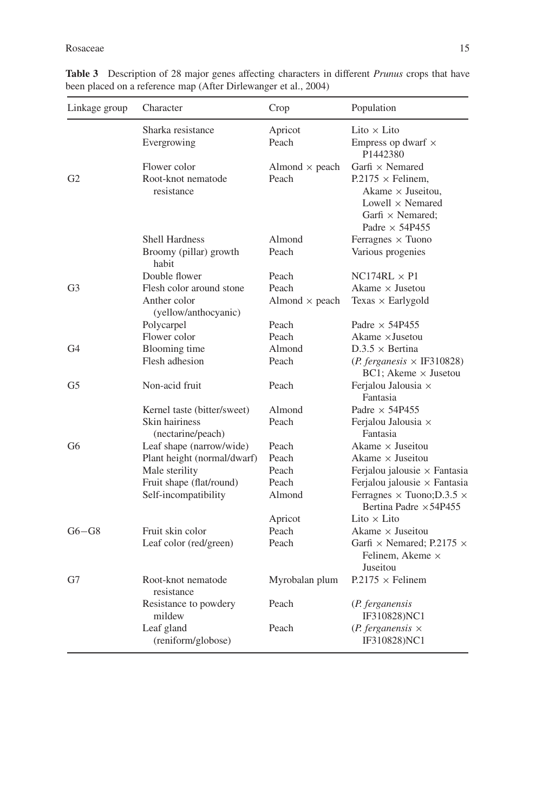| Linkage group  | Character                                        | Crop                           | Population                                                                                                                                                    |
|----------------|--------------------------------------------------|--------------------------------|---------------------------------------------------------------------------------------------------------------------------------------------------------------|
|                | Sharka resistance<br>Evergrowing                 | Apricot<br>Peach               | Lito $\times$ Lito<br>Empress op dwarf $\times$<br>P1442380                                                                                                   |
| G <sub>2</sub> | Flower color<br>Root-knot nematode<br>resistance | Almond $\times$ peach<br>Peach | Garfi $\times$ Nemared<br>$P.2175 \times$ Felinem.<br>Akame $\times$ Juseitou,<br>Lowell $\times$ Nemared<br>Garfi $\times$ Nemared;<br>Padre $\times$ 54P455 |
|                | <b>Shell Hardness</b>                            | Almond                         | Ferragnes $\times$ Tuono                                                                                                                                      |
|                | Broomy (pillar) growth<br>habit                  | Peach                          | Various progenies                                                                                                                                             |
|                | Double flower                                    | Peach                          | $NC174RL \times P1$                                                                                                                                           |
| G <sub>3</sub> | Flesh color around stone                         | Peach                          | Akame $\times$ Jusetou                                                                                                                                        |
|                | Anther color<br>(yellow/anthocyanic)             | Almond $\times$ peach          | Texas $\times$ Earlygold                                                                                                                                      |
|                | Polycarpel                                       | Peach                          | Padre $\times$ 54P455                                                                                                                                         |
|                | Flower color                                     | Peach                          | Akame $\times$ Jusetou                                                                                                                                        |
| G4             | Blooming time                                    | Almond                         | $D.3.5 \times$ Bertina                                                                                                                                        |
|                | Flesh adhesion                                   | Peach                          | $(P. ferganesis \times IF310828)$<br>$BC1$ ; Akeme $\times$ Jusetou                                                                                           |
| G5             | Non-acid fruit                                   | Peach                          | Ferjalou Jalousia $\times$<br>Fantasia                                                                                                                        |
|                | Kernel taste (bitter/sweet)                      | Almond                         | Padre $\times$ 54P455                                                                                                                                         |
|                | Skin hairiness<br>(nectarine/peach)              | Peach                          | Ferjalou Jalousia $\times$<br>Fantasia                                                                                                                        |
| G6             | Leaf shape (narrow/wide)                         | Peach                          | Akame $\times$ Juseitou                                                                                                                                       |
|                | Plant height (normal/dwarf)                      | Peach                          | Akame $\times$ Juseitou                                                                                                                                       |
|                | Male sterility                                   | Peach                          | Ferjalou jalousie $\times$ Fantasia                                                                                                                           |
|                | Fruit shape (flat/round)                         | Peach                          | Ferjalou jalousie $\times$ Fantasia                                                                                                                           |
|                | Self-incompatibility                             | Almond                         | Ferragnes $\times$ Tuono; D.3.5 $\times$<br>Bertina Padre $\times$ 54P455                                                                                     |
|                |                                                  | Apricot                        | Lito $\times$ Lito                                                                                                                                            |
| $G6-G8$        | Fruit skin color                                 | Peach                          | Akame $\times$ Juseitou                                                                                                                                       |
|                | Leaf color (red/green)                           | Peach                          | Garfi $\times$ Nemared; P.2175 $\times$<br>Felinem, Akeme $\times$<br>Juseitou                                                                                |
| G7             | Root-knot nematode<br>resistance                 | Myrobalan plum                 | $P.2175 \times$ Felinem                                                                                                                                       |
|                | Resistance to powdery<br>mildew                  | Peach                          | (P. ferganensis<br>IF310828)NC1                                                                                                                               |
|                | Leaf gland<br>(reniform/globose)                 | Peach                          | ( <i>P. ferganensis</i> $\times$<br>IF310828)NC1                                                                                                              |

**Table 3** Description of 28 major genes affecting characters in different *Prunus* crops that have been placed on a reference map (After Dirlewanger et al., 2004)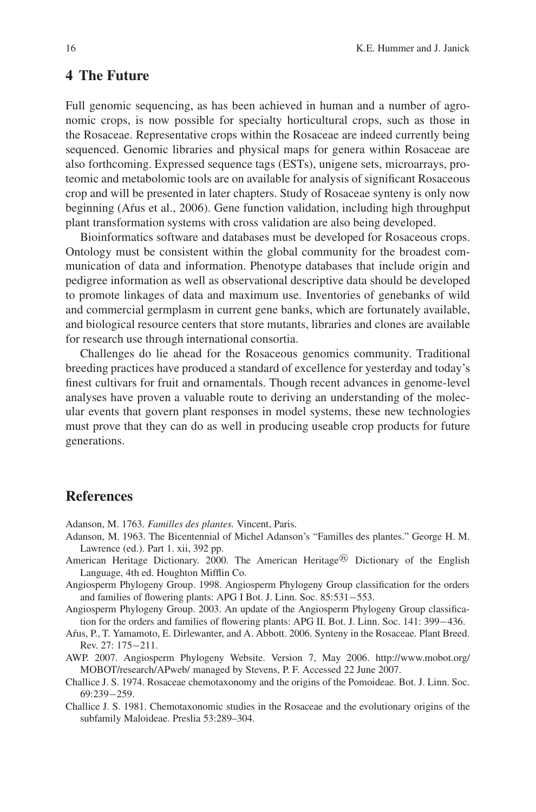## **4 The Future**

Full genomic sequencing, as has been achieved in human and a number of agronomic crops, is now possible for specialty horticultural crops, such as those in the Rosaceae. Representative crops within the Rosaceae are indeed currently being sequenced. Genomic libraries and physical maps for genera within Rosaceae are also forthcoming. Expressed sequence tags (ESTs), unigene sets, microarrays, proteomic and metabolomic tools are on available for analysis of significant Rosaceous crop and will be presented in later chapters. Study of Rosaceae synteny is only now beginning (Afus et al., 2006). Gene function validation, including high throughput plant transformation systems with cross validation are also being developed.

Bioinformatics software and databases must be developed for Rosaceous crops. Ontology must be consistent within the global community for the broadest communication of data and information. Phenotype databases that include origin and pedigree information as well as observational descriptive data should be developed to promote linkages of data and maximum use. Inventories of genebanks of wild and commercial germplasm in current gene banks, which are fortunately available, and biological resource centers that store mutants, libraries and clones are available for research use through international consortia.

Challenges do lie ahead for the Rosaceous genomics community. Traditional breeding practices have produced a standard of excellence for yesterday and today's finest cultivars for fruit and ornamentals. Though recent advances in genome-level analyses have proven a valuable route to deriving an understanding of the molecular events that govern plant responses in model systems, these new technologies must prove that they can do as well in producing useable crop products for future generations.

# **References**

- Adanson, M. 1763. *Familles des plantes.* Vincent, Paris.
- Adanson, M. 1963. The Bicentennial of Michel Adanson's "Familles des plantes." George H. M. Lawrence (ed.). Part 1. xii, 392 pp.
- American Heritage Dictionary. 2000. The American Heritage® Dictionary of the English Language, 4th ed. Houghton Mifflin Co.
- Angiosperm Phylogeny Group. 1998. Angiosperm Phylogeny Group classification for the orders and families of flowering plants: APG I Bot. J. Linn. Soc. 85:531−553.
- Angiosperm Phylogeny Group. 2003. An update of the Angiosperm Phylogeny Group classification for the orders and families of flowering plants: APG II. Bot. J. Linn. Soc. 141: 399−436.
- A´rus, P., T. Yamamoto, E. Dirlewanter, and A. Abbott. 2006. Synteny in the Rosaceae. Plant Breed. Rev. 27: 175−211.
- AWP. 2007. Angiosperm Phylogeny Website. Version 7, May 2006. http://www.mobot.org/ MOBOT/research/APweb/ managed by Stevens, P. F. Accessed 22 June 2007.
- Challice J. S. 1974. Rosaceae chemotaxonomy and the origins of the Pomoideae. Bot. J. Linn. Soc. 69:239−259.
- Challice J. S. 1981. Chemotaxonomic studies in the Rosaceae and the evolutionary origins of the subfamily Maloideae. Preslia 53:289–304.